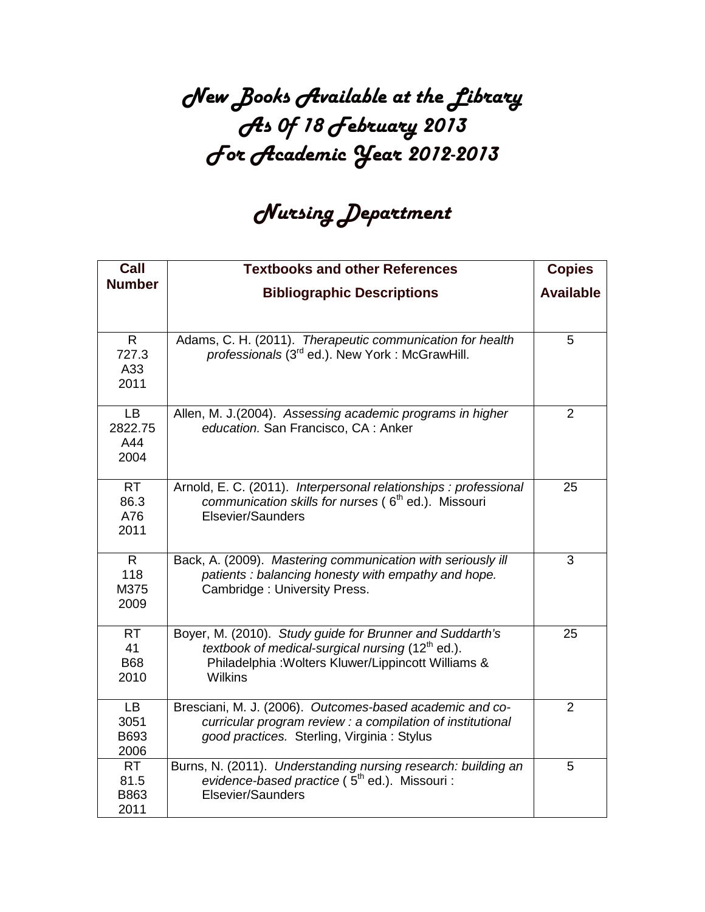## New Books Available at the Library As 0f 18 February 2013 For Academic Year 2012-2013

## Nursing Department

| Call                                  | <b>Textbooks and other References</b>                                                                                                                                                  | <b>Copies</b>    |
|---------------------------------------|----------------------------------------------------------------------------------------------------------------------------------------------------------------------------------------|------------------|
| <b>Number</b>                         | <b>Bibliographic Descriptions</b>                                                                                                                                                      | <b>Available</b> |
|                                       |                                                                                                                                                                                        |                  |
| $\mathsf{R}$<br>727.3<br>A33<br>2011  | Adams, C. H. (2011). Therapeutic communication for health<br>professionals (3 <sup>rd</sup> ed.). New York: McGrawHill.                                                                | 5                |
| <b>LB</b><br>2822.75<br>A44<br>2004   | Allen, M. J.(2004). Assessing academic programs in higher<br>education. San Francisco, CA: Anker                                                                                       | $\overline{2}$   |
| <b>RT</b><br>86.3<br>A76<br>2011      | Arnold, E. C. (2011). Interpersonal relationships : professional<br>communication skills for nurses (6 <sup>th</sup> ed.). Missouri<br>Elsevier/Saunders                               | 25               |
| $\mathsf{R}$<br>118<br>M375<br>2009   | Back, A. (2009). Mastering communication with seriously ill<br>patients: balancing honesty with empathy and hope.<br>Cambridge: University Press.                                      | 3                |
| <b>RT</b><br>41<br><b>B68</b><br>2010 | Boyer, M. (2010). Study guide for Brunner and Suddarth's<br>textbook of medical-surgical nursing $(12th$ ed.).<br>Philadelphia: Wolters Kluwer/Lippincott Williams &<br><b>Wilkins</b> | 25               |
| <b>LB</b><br>3051<br>B693<br>2006     | Bresciani, M. J. (2006). Outcomes-based academic and co-<br>curricular program review : a compilation of institutional<br>good practices. Sterling, Virginia: Stylus                   | $\overline{2}$   |
| <b>RT</b><br>81.5<br>B863<br>2011     | Burns, N. (2011). Understanding nursing research: building an<br>evidence-based practice (5 <sup>th</sup> ed.). Missouri :<br>Elsevier/Saunders                                        | 5                |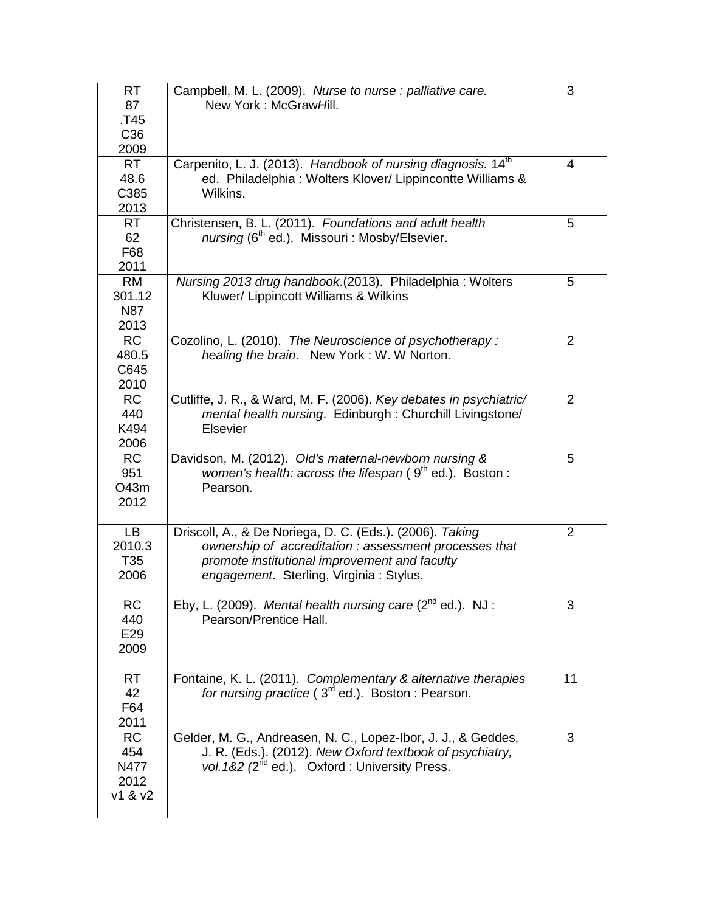| <b>RT</b><br>87<br>T45.<br>C <sub>36</sub><br>2009 | Campbell, M. L. (2009). Nurse to nurse : palliative care.<br>New York: McGrawHill.                                                                                                                            | 3              |
|----------------------------------------------------|---------------------------------------------------------------------------------------------------------------------------------------------------------------------------------------------------------------|----------------|
| <b>RT</b><br>48.6<br>C385<br>2013                  | Carpenito, L. J. (2013). Handbook of nursing diagnosis. 14 <sup>th</sup><br>ed. Philadelphia: Wolters Klover/ Lippincontte Williams &<br>Wilkins.                                                             | 4              |
| <b>RT</b><br>62<br>F68<br>2011                     | Christensen, B. L. (2011). Foundations and adult health<br>nursing (6 <sup>th</sup> ed.). Missouri : Mosby/Elsevier.                                                                                          | 5              |
| <b>RM</b><br>301.12<br><b>N87</b><br>2013          | Nursing 2013 drug handbook.(2013). Philadelphia: Wolters<br>Kluwer/ Lippincott Williams & Wilkins                                                                                                             | 5              |
| <b>RC</b><br>480.5<br>C645<br>2010                 | Cozolino, L. (2010). The Neuroscience of psychotherapy:<br>healing the brain. New York: W. W Norton.                                                                                                          | $\overline{2}$ |
| <b>RC</b><br>440<br>K494<br>2006                   | Cutliffe, J. R., & Ward, M. F. (2006). Key debates in psychiatric/<br>mental health nursing. Edinburgh: Churchill Livingstone/<br><b>Elsevier</b>                                                             | 2              |
| <b>RC</b><br>951<br>O43m<br>2012                   | Davidson, M. (2012). Old's maternal-newborn nursing &<br>women's health: across the lifespan $(9th$ ed.). Boston :<br>Pearson.                                                                                | 5              |
| <b>LB</b><br>2010.3<br>T <sub>35</sub><br>2006     | Driscoll, A., & De Noriega, D. C. (Eds.). (2006). Taking<br>ownership of accreditation: assessment processes that<br>promote institutional improvement and faculty<br>engagement. Sterling, Virginia: Stylus. | $\overline{2}$ |
| <b>RC</b><br>440<br>E29<br>2009                    | Eby, L. (2009). Mental health nursing care $(2^{nd}$ ed.). NJ :<br>Pearson/Prentice Hall.                                                                                                                     | 3              |
| <b>RT</b><br>42<br>F64<br>2011                     | Fontaine, K. L. (2011). Complementary & alternative therapies<br>for nursing practice ( $3rd$ ed.). Boston: Pearson.                                                                                          | 11             |
| <b>RC</b><br>454<br>N477<br>2012<br>v1 & 8 v2      | Gelder, M. G., Andreasen, N. C., Lopez-Ibor, J. J., & Geddes,<br>J. R. (Eds.). (2012). New Oxford textbook of psychiatry,<br>vol. 1&2 (2 <sup>nd</sup> ed.). Oxford: University Press.                        | 3              |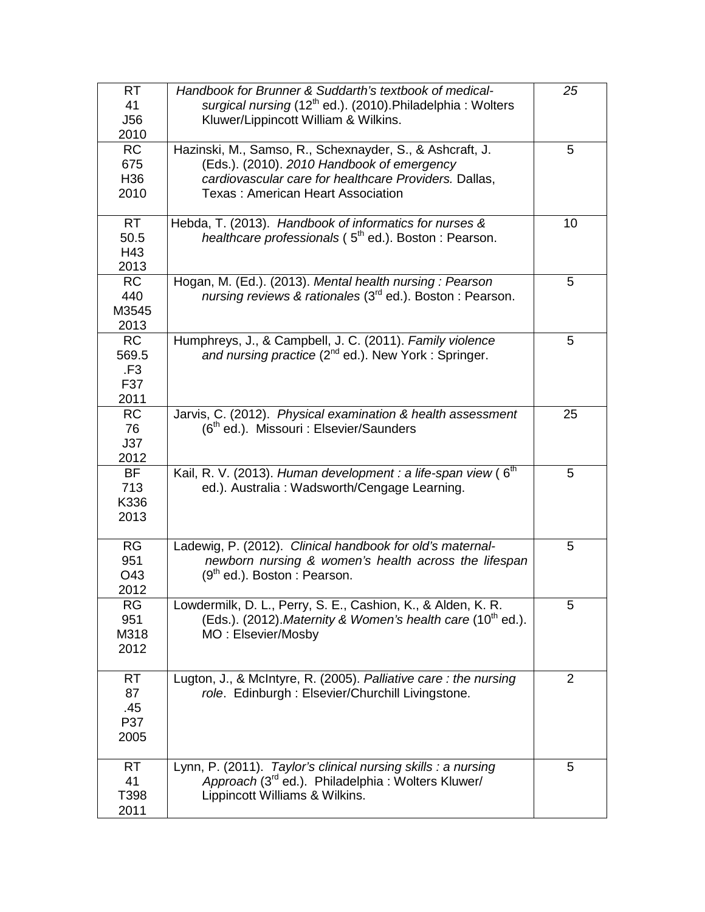| <b>RT</b><br>41<br><b>J56</b><br>2010       | Handbook for Brunner & Suddarth's textbook of medical-<br>surgical nursing (12 <sup>th</sup> ed.). (2010). Philadelphia: Wolters<br>Kluwer/Lippincott William & Wilkins.                                    | 25 |
|---------------------------------------------|-------------------------------------------------------------------------------------------------------------------------------------------------------------------------------------------------------------|----|
| <b>RC</b><br>675<br>H <sub>36</sub><br>2010 | Hazinski, M., Samso, R., Schexnayder, S., & Ashcraft, J.<br>(Eds.). (2010). 2010 Handbook of emergency<br>cardiovascular care for healthcare Providers. Dallas,<br><b>Texas: American Heart Association</b> | 5  |
| <b>RT</b><br>50.5<br>H43<br>2013            | Hebda, T. (2013). Handbook of informatics for nurses &<br>healthcare professionals (5 <sup>th</sup> ed.). Boston: Pearson.                                                                                  | 10 |
| <b>RC</b><br>440<br>M3545<br>2013           | Hogan, M. (Ed.). (2013). Mental health nursing: Pearson<br>nursing reviews & rationales (3 <sup>rd</sup> ed.). Boston: Pearson.                                                                             | 5  |
| <b>RC</b><br>569.5<br>.F3<br>F37<br>2011    | Humphreys, J., & Campbell, J. C. (2011). Family violence<br>and nursing practice (2 <sup>nd</sup> ed.). New York: Springer.                                                                                 | 5  |
| <b>RC</b><br>76<br>J37<br>2012              | Jarvis, C. (2012). Physical examination & health assessment<br>(6 <sup>th</sup> ed.). Missouri : Elsevier/Saunders                                                                                          | 25 |
| <b>BF</b><br>713<br>K336<br>2013            | Kail, R. V. (2013). Human development : a life-span view (6 <sup>th</sup><br>ed.). Australia : Wadsworth/Cengage Learning.                                                                                  | 5  |
| RG<br>951<br>O43<br>2012                    | Ladewig, P. (2012). Clinical handbook for old's maternal-<br>newborn nursing & women's health across the lifespan<br>$(9th$ ed.). Boston : Pearson.                                                         | 5  |
| <b>RG</b><br>951<br>M318<br>2012            | Lowdermilk, D. L., Perry, S. E., Cashion, K., & Alden, K. R.<br>(Eds.). (2012). Maternity & Women's health care (10 <sup>th</sup> ed.).<br>MO: Elsevier/Mosby                                               | 5  |
| RT.<br>87<br>.45<br>P37<br>2005             | Lugton, J., & McIntyre, R. (2005). Palliative care: the nursing<br>role. Edinburgh: Elsevier/Churchill Livingstone.                                                                                         | 2  |
| <b>RT</b><br>41<br>T398<br>2011             | Lynn, P. (2011). Taylor's clinical nursing skills : a nursing<br>Approach (3 <sup>rd</sup> ed.). Philadelphia: Wolters Kluwer/<br>Lippincott Williams & Wilkins.                                            | 5  |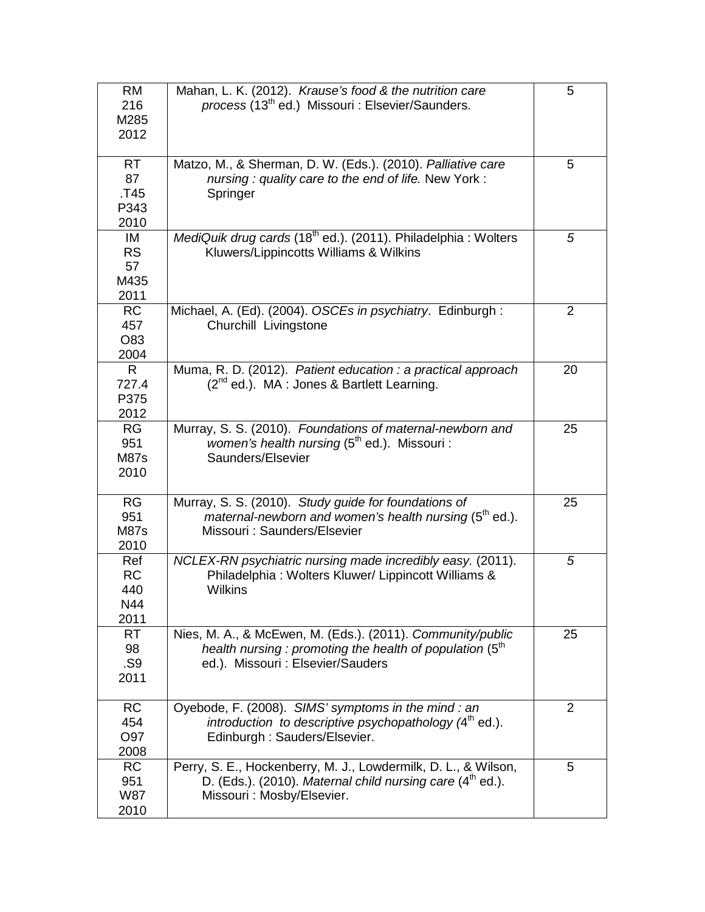| <b>RM</b><br>216<br>M285<br>2012       | Mahan, L. K. (2012). Krause's food & the nutrition care<br>process (13 <sup>th</sup> ed.) Missouri : Elsevier/Saunders.                                       | 5  |
|----------------------------------------|---------------------------------------------------------------------------------------------------------------------------------------------------------------|----|
| <b>RT</b><br>87<br>T45<br>P343<br>2010 | Matzo, M., & Sherman, D. W. (Eds.). (2010). Palliative care<br>nursing: quality care to the end of life. New York:<br>Springer                                | 5  |
| IM<br><b>RS</b><br>57<br>M435<br>2011  | MediQuik drug cards (18 <sup>th</sup> ed.). (2011). Philadelphia : Wolters<br>Kluwers/Lippincotts Williams & Wilkins                                          | 5  |
| <b>RC</b><br>457<br>O83<br>2004        | Michael, A. (Ed). (2004). OSCEs in psychiatry. Edinburgh:<br>Churchill Livingstone                                                                            | 2  |
| $\mathsf{R}$<br>727.4<br>P375<br>2012  | Muma, R. D. (2012). Patient education : a practical approach<br>(2 <sup>nd</sup> ed.). MA : Jones & Bartlett Learning.                                        | 20 |
| RG<br>951<br><b>M87s</b><br>2010       | Murray, S. S. (2010). Foundations of maternal-newborn and<br><i>women's health nursing</i> ( $5th$ ed.). Missouri :<br>Saunders/Elsevier                      | 25 |
| RG<br>951<br><b>M87s</b><br>2010       | Murray, S. S. (2010). Study guide for foundations of<br>maternal-newborn and women's health nursing (5 <sup>th</sup> ed.).<br>Missouri: Saunders/Elsevier     | 25 |
| Ref<br><b>RC</b><br>440<br>N44<br>2011 | NCLEX-RN psychiatric nursing made incredibly easy. (2011).<br>Philadelphia: Wolters Kluwer/ Lippincott Williams &<br><b>Wilkins</b>                           | 5  |
| <b>RT</b><br>98<br>.S9<br>2011         | Nies, M. A., & McEwen, M. (Eds.). (2011). Community/public<br>health nursing : promoting the health of population $(5th$<br>ed.). Missouri : Elsevier/Sauders | 25 |
| <b>RC</b><br>454<br>O97<br>2008        | Oyebode, F. (2008). SIMS' symptoms in the mind : an<br>introduction to descriptive psychopathology $(4th$ ed.).<br>Edinburgh: Sauders/Elsevier.               | 2  |
| <b>RC</b><br>951<br><b>W87</b><br>2010 | Perry, S. E., Hockenberry, M. J., Lowdermilk, D. L., & Wilson,<br>D. (Eds.). (2010). Maternal child nursing care $(4th$ ed.).<br>Missouri: Mosby/Elsevier.    | 5  |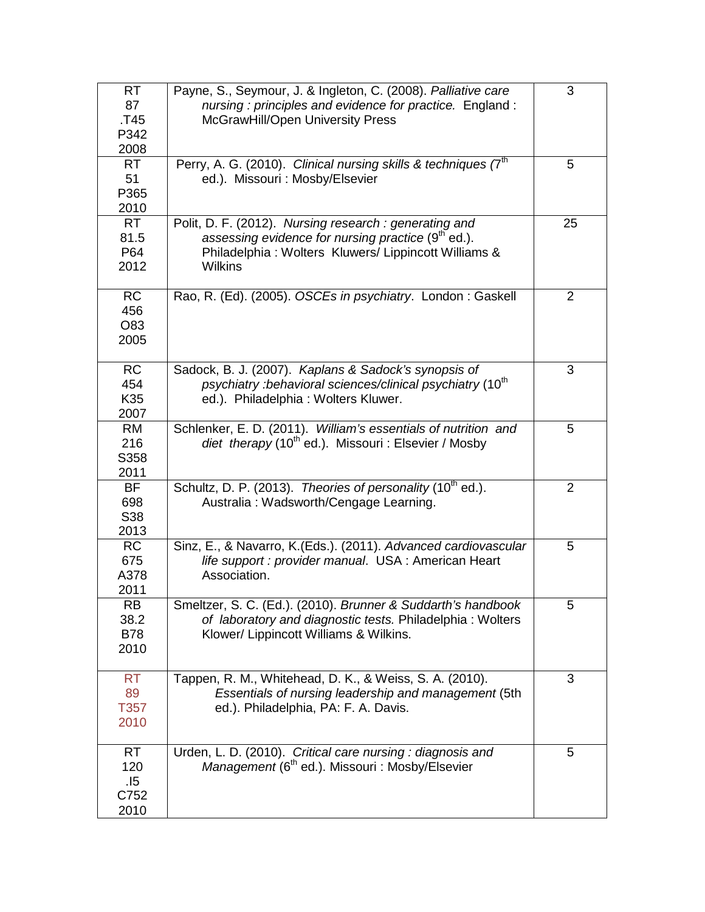| <b>RT</b><br>87<br>.T45<br>P342<br>2008 | Payne, S., Seymour, J. & Ingleton, C. (2008). Palliative care<br>nursing: principles and evidence for practice. England:<br>McGrawHill/Open University Press                               | 3              |
|-----------------------------------------|--------------------------------------------------------------------------------------------------------------------------------------------------------------------------------------------|----------------|
| <b>RT</b><br>51<br>P365<br>2010         | Perry, A. G. (2010). Clinical nursing skills & techniques (7 <sup>th</sup> )<br>ed.). Missouri : Mosby/Elsevier                                                                            | 5              |
| <b>RT</b><br>81.5<br>P64<br>2012        | Polit, D. F. (2012). Nursing research : generating and<br>assessing evidence for nursing practice (9 <sup>th</sup> ed.).<br>Philadelphia: Wolters Kluwers/Lippincott Williams &<br>Wilkins | 25             |
| <b>RC</b><br>456<br>O83<br>2005         | Rao, R. (Ed). (2005). OSCEs in psychiatry. London: Gaskell                                                                                                                                 | 2              |
| <b>RC</b><br>454<br>K35<br>2007         | Sadock, B. J. (2007). Kaplans & Sadock's synopsis of<br>psychiatry : behavioral sciences/clinical psychiatry (10 <sup>th</sup> )<br>ed.). Philadelphia: Wolters Kluwer.                    | 3              |
| <b>RM</b><br>216<br>S358<br>2011        | Schlenker, E. D. (2011). William's essentials of nutrition and<br>diet therapy (10 <sup>th</sup> ed.). Missouri: Elsevier / Mosby                                                          | 5              |
| <b>BF</b><br>698<br>S38<br>2013         | Schultz, D. P. (2013). Theories of personality (10 <sup>th</sup> ed.).<br>Australia: Wadsworth/Cengage Learning.                                                                           | $\overline{2}$ |
| <b>RC</b><br>675<br>A378<br>2011        | Sinz, E., & Navarro, K.(Eds.). (2011). Advanced cardiovascular<br>life support : provider manual. USA : American Heart<br>Association.                                                     | 5              |
| <b>RB</b><br>38.2<br><b>B78</b><br>2010 | Smeltzer, S. C. (Ed.). (2010). Brunner & Suddarth's handbook<br>of laboratory and diagnostic tests. Philadelphia: Wolters<br>Klower/ Lippincott Williams & Wilkins.                        | 5              |
| <b>RT</b><br>89<br>T357<br>2010         | Tappen, R. M., Whitehead, D. K., & Weiss, S. A. (2010).<br>Essentials of nursing leadership and management (5th<br>ed.). Philadelphia, PA: F. A. Davis.                                    | 3              |
| <b>RT</b><br>120<br>.15<br>C752<br>2010 | Urden, L. D. (2010). Critical care nursing: diagnosis and<br>Management (6 <sup>th</sup> ed.). Missouri : Mosby/Elsevier                                                                   | 5              |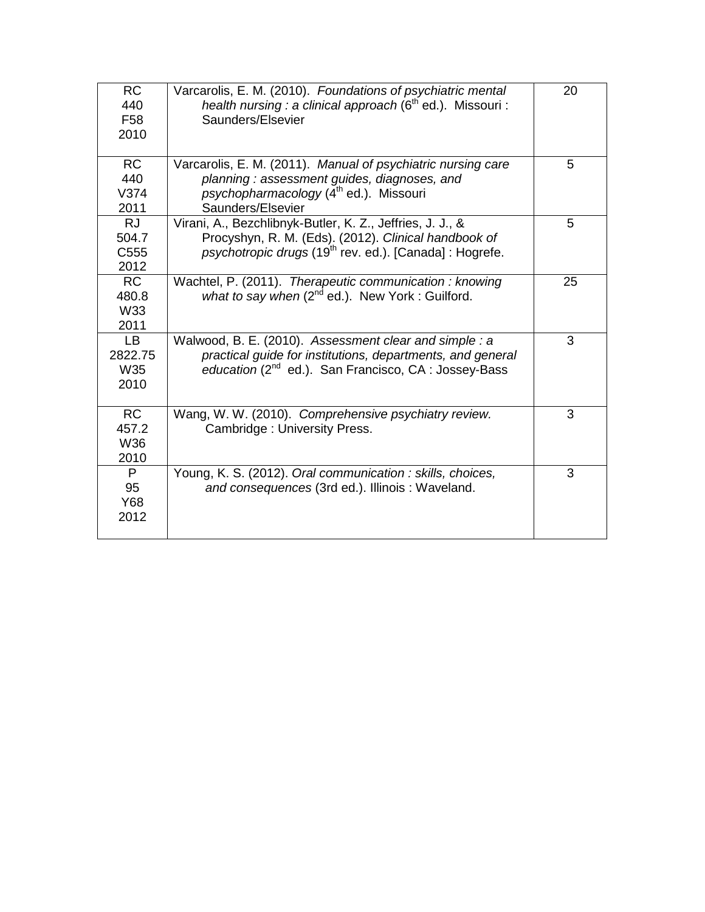| <b>RC</b><br>440<br>F <sub>58</sub><br>2010 | Varcarolis, E. M. (2010). Foundations of psychiatric mental<br>health nursing : a clinical approach ( $6th$ ed.). Missouri :<br>Saunders/Elsevier | 20 |
|---------------------------------------------|---------------------------------------------------------------------------------------------------------------------------------------------------|----|
| <b>RC</b>                                   | Varcarolis, E. M. (2011). Manual of psychiatric nursing care                                                                                      | 5  |
| 440                                         | planning: assessment guides, diagnoses, and                                                                                                       |    |
| V374                                        | psychopharmacology (4 <sup>th</sup> ed.). Missouri                                                                                                |    |
| 2011                                        | Saunders/Elsevier                                                                                                                                 |    |
| <b>RJ</b>                                   | Virani, A., Bezchlibnyk-Butler, K. Z., Jeffries, J. J., &                                                                                         | 5  |
| 504.7<br>C <sub>555</sub>                   | Procyshyn, R. M. (Eds). (2012). Clinical handbook of<br>psychotropic drugs (19 <sup>th</sup> rev. ed.). [Canada] : Hogrefe.                       |    |
| 2012                                        |                                                                                                                                                   |    |
| <b>RC</b>                                   |                                                                                                                                                   | 25 |
| 480.8                                       | Wachtel, P. (2011). Therapeutic communication : knowing<br>what to say when $(2^{nd}$ ed.). New York: Guilford.                                   |    |
| W33                                         |                                                                                                                                                   |    |
| 2011                                        |                                                                                                                                                   |    |
| <b>LB</b>                                   | Walwood, B. E. (2010). Assessment clear and simple : a                                                                                            | 3  |
| 2822.75                                     | practical guide for institutions, departments, and general                                                                                        |    |
| W35                                         | education $(2^{nd}$ ed.). San Francisco, CA : Jossey-Bass                                                                                         |    |
| 2010                                        |                                                                                                                                                   |    |
|                                             |                                                                                                                                                   |    |
| <b>RC</b>                                   | Wang, W. W. (2010). Comprehensive psychiatry review.                                                                                              | 3  |
| 457.2                                       | Cambridge: University Press.                                                                                                                      |    |
| W36                                         |                                                                                                                                                   |    |
| 2010                                        |                                                                                                                                                   |    |
| P                                           | Young, K. S. (2012). Oral communication : skills, choices,                                                                                        | 3  |
| 95                                          | and consequences (3rd ed.). Illinois: Waveland.                                                                                                   |    |
| Y68                                         |                                                                                                                                                   |    |
| 2012                                        |                                                                                                                                                   |    |
|                                             |                                                                                                                                                   |    |